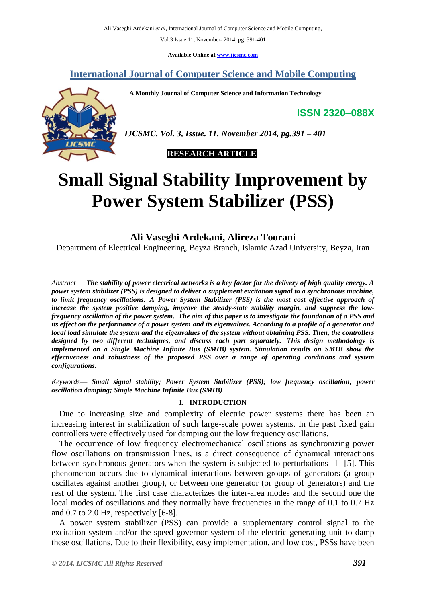**Available Online at [www.ijcsmc.com](http://www.ijcsmc.com/)**

**International Journal of Computer Science and Mobile Computing**

 **A Monthly Journal of Computer Science and Information Technology**

**ISSN 2320–088X**



*IJCSMC, Vol. 3, Issue. 11, November 2014, pg.391 – 401*

 **RESEARCH ARTICLE**

# **Small Signal Stability Improvement by Power System Stabilizer (PSS)**

**Ali Vaseghi Ardekani, Alireza Toorani**

Department of Electrical Engineering, Beyza Branch, Islamic Azad University, Beyza, Iran

*Abstract***—** *The stability of power electrical networks is a key factor for the delivery of high quality energy. A power system stabilizer (PSS) is designed to deliver a supplement excitation signal to a synchronous machine, to limit frequency oscillations. A Power System Stabilizer (PSS) is the most cost effective approach of increase the system positive damping, improve the steady-state stability margin, and suppress the lowfrequency oscillation of the power system. The aim of this paper is to investigate the foundation of a PSS and its effect on the performance of a power system and its eigenvalues. According to a profile of a generator and local load simulate the system and the eigenvalues of the system without obtaining PSS. Then, the controllers designed by two different techniques, and discuss each part separately. This design methodology is implemented on a Single Machine Infinite Bus (SMIB) system. Simulation results on SMIB show the effectiveness and robustness of the proposed PSS over a range of operating conditions and system configurations.*

*Keywords— Small signal stability; Power System Stabilizer (PSS); low frequency oscillation; power oscillation damping; Single Machine Infinite Bus (SMIB)*

# **I. INTRODUCTION**

Due to increasing size and complexity of electric power systems there has been an increasing interest in stabilization of such large-scale power systems. In the past fixed gain controllers were effectively used for damping out the low frequency oscillations.

The occurrence of low frequency electromechanical oscillations as synchronizing power flow oscillations on transmission lines, is a direct consequence of dynamical interactions between synchronous generators when the system is subjected to perturbations [1]-[5]. This phenomenon occurs due to dynamical interactions between groups of generators (a group oscillates against another group), or between one generator (or group of generators) and the rest of the system. The first case characterizes the inter-area modes and the second one the local modes of oscillations and they normally have frequencies in the range of 0.1 to 0.7 Hz and 0.7 to 2.0 Hz, respectively [6-8].

A power system stabilizer (PSS) can provide a supplementary control signal to the excitation system and/or the speed governor system of the electric generating unit to damp these oscillations. Due to their flexibility, easy implementation, and low cost, PSSs have been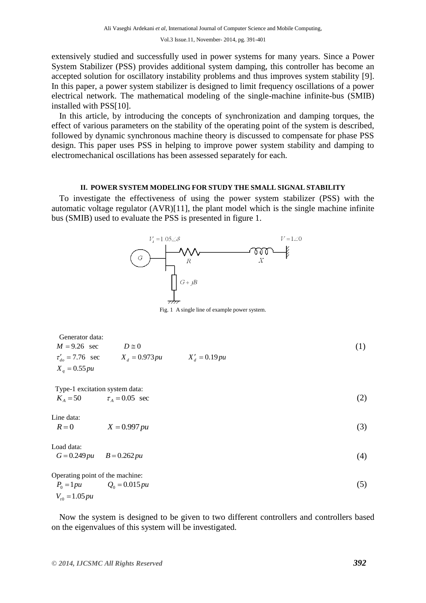extensively studied and successfully used in power systems for many years. Since a Power System Stabilizer (PSS) provides additional system damping, this controller has become an accepted solution for oscillatory instability problems and thus improves system stability [9]. In this paper, a power system stabilizer is designed to limit frequency oscillations of a power electrical network. The mathematical modeling of the single-machine infinite-bus (SMIB) installed with PSS[10].

In this article, by introducing the concepts of synchronization and damping torques, the effect of various parameters on the stability of the operating point of the system is described, followed by dynamic synchronous machine theory is discussed to compensate for phase PSS design. This paper uses PSS in helping to improve power system stability and damping to electromechanical oscillations has been assessed separately for each.

# **II. POWER SYSTEM MODELING FOR STUDY THE SMALL SIGNAL STABILITY**

To investigate the effectiveness of using the power system stabilizer (PSS) with the automatic voltage regulator (AVR)[11], the plant model which is the single machine infinite bus (SMIB) used to evaluate the PSS is presented in figure 1.



Fig. 1 A single line of example power system.

$$
\begin{array}{ll}\n\text{Generator data:} \\
M = 9.26 \quad \text{sec} \\
\tau_{do}^{\prime} = 7.76 \quad \text{sec} \\
X_d = 0.973 \, \text{pu} \\
X_q = 0.55 \, \text{pu}\n\end{array} \qquad\n\begin{array}{ll}\nX'_d = 0.19 \, \text{pu} \\
X'_d = 0.19 \, \text{pu}\n\end{array} \tag{1}
$$

 Type-1 excitation system data:  $K_A = 50$   $\tau_A = 0.05$  sec

Line data:

 $R = 0$   $X = 0.997 \, pu$ (3)

$$
Load data:G = 0.249 pu B = 0.262 pu
$$
 (4)

Operating point of the machine:  
\n
$$
P_0 = 1pu
$$
  $Q_0 = 0.015pu$  (5)  
\n $V_{r0} = 1.05pu$ 

Now the system is designed to be given to two different controllers and controllers based on the eigenvalues of this system will be investigated.

(2)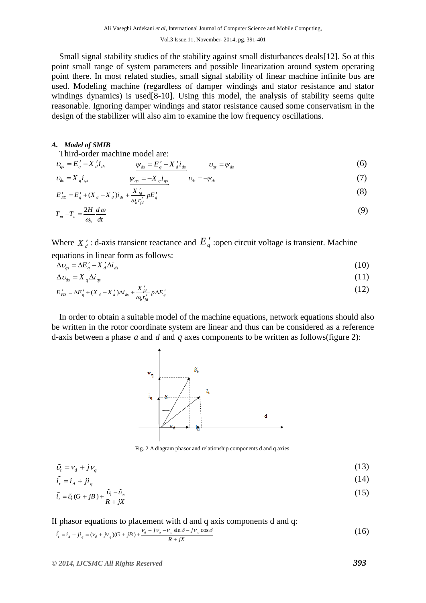Small signal stability studies of the stability against small disturbances deals[12]. So at this point small range of system parameters and possible linearization around system operating point there. In most related studies, small signal stability of linear machine infinite bus are used. Modeling machine (regardless of damper windings and stator resistance and stator windings dynamics) is used[8-10]. Using this model, the analysis of stability seems quite reasonable. Ignoring damper windings and stator resistance caused some conservatism in the design of the stabilizer will also aim to examine the low frequency oscillations.

## *A. Model of SMIB*

Third-order machine model are:

$$
\nu_{qs} = E_q' - X_d' i_{ds} \qquad \psi_{ds} = E_q' - X_d' i_{ds} \qquad \nu_{qs} = \psi_{ds} \qquad (6)
$$

$$
\nu_{ds} = X_{q} i_{qs} \qquad \qquad \nu_{qs} = -X_{q} i_{qs} \qquad \qquad \nu_{ds} = -\nu_{ds} \qquad (7)
$$

$$
E'_{FD} = E'_{q} + (X_{d} - X'_{d})i_{ds} + \frac{X'_{fd}}{\omega_{b}r'_{fd}}pE'_{q}
$$
\n(8)

$$
T_m - T_e = \frac{2H}{\omega_b} \frac{d\omega}{dt} \tag{9}
$$

Where  $X_d$ : d-axis transient reactance and  $E_q$  :open circuit voltage is transient. Machine equations in linear form as follows:

$$
\Delta v_{qs} = \Delta E'_q - X'_d \Delta i_{ds} \tag{10}
$$

$$
\Delta v_{ds} = X_q \Delta i_{qs} \tag{11}
$$

$$
\Delta U_{ds} = \Delta E'_q + (X_d - X'_d) \Delta i_{ds} + \frac{X'_d}{\omega_b r'_{fd}} p \Delta E'_q
$$
\n(12)

In order to obtain a suitable model of the machine equations, network equations should also be written in the rotor coordinate system are linear and thus can be considered as a reference d-axis between a phase  $a$  and  $d$  and  $q$  axes components to be written as follows(figure 2):



Fig. 2 A diagram phasor and relationship components d and q axies.

$$
\tilde{\nu}_t = \nu_d + j\nu_q \tag{13}
$$

$$
\tilde{i}_t = i_d + ji_q \tag{14}
$$
\n
$$
\tilde{i}_t = \tilde{i}_d (G + iR) + \frac{\tilde{U}_t - \tilde{U}_\infty}{2} \tag{15}
$$

$$
\tilde{i}_{i} = \tilde{\upsilon}_{i} (G + jB) + \frac{\tilde{\upsilon}_{i} - \tilde{\upsilon}_{\infty}}{R + jX}
$$
\n(15)

If phasor equations to placement with d and q axis components d and q:

If phasor equations to placement with d and q axis components d and q:  
\n
$$
\tilde{i}_r = i_d + ji_q = (v_d + jv_q)(G + jB) + \frac{v_d + jv_q - v_\infty \sin \delta - jv_\infty \cos \delta}{R + jX}
$$
\n(16)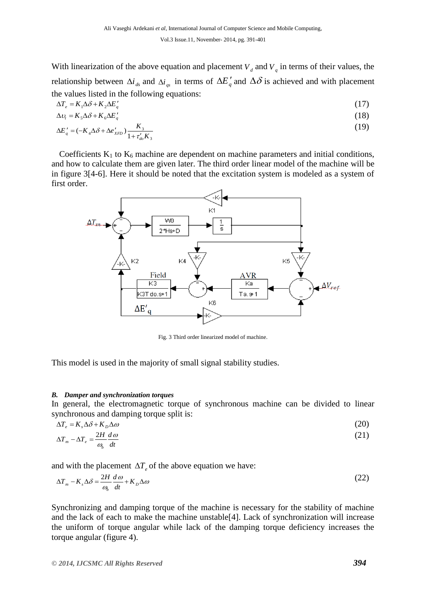With linearization of the above equation and placement  $V_d$  and  $V_q$  in terms of their values, the relationship between  $\Delta i_{ds}$  and  $\Delta i_{gs}$  in terms of  $\Delta E'_q$  and  $\Delta \delta$  is achieved and with placement the values listed in the following equations:

$$
\Delta T_e = K_1 \Delta \delta + K_2 \Delta E'_q \tag{17}
$$

$$
\Delta v_t = K_s \Delta \delta + K_s \Delta E'_q \tag{18}
$$

$$
\Delta E'_{q} = (-K_{4}\Delta\delta + \Delta e'_{XFD})\frac{K_{3}}{1 + \tau'_{do}K_{3}}
$$
(19)

Coefficients  $K_1$  to  $K_6$  machine are dependent on machine parameters and initial conditions, and how to calculate them are given later. The third order linear model of the machine will be in figure 3[4-6]. Here it should be noted that the excitation system is modeled as a system of first order.



Fig. 3 Third order linearized model of machine.

This model is used in the majority of small signal stability studies.

# *B. Damper and synchronization torques*

In general, the electromagnetic torque of synchronous machine can be divided to linear synchronous and damping torque split is:

$$
\Delta T_e = K_s \Delta \delta + K_D \Delta \omega \tag{20}
$$
\n
$$
\Delta T_m - \Delta T_e = \frac{2H}{I} \frac{d\omega}{d\omega} \tag{21}
$$

$$
\Delta T_m - \Delta T_e = \frac{2H}{\omega_b} \frac{d\omega}{dt} \tag{21}
$$

and with the placement 
$$
\Delta T_e
$$
 of the above equation we have:  
\n
$$
\Delta T_m - K_s \Delta \delta = \frac{2H}{\omega_b} \frac{d\omega}{dt} + K_D \Delta \omega
$$
\n(22)

Synchronizing and damping torque of the machine is necessary for the stability of machine and the lack of each to make the machine unstable[4]. Lack of synchronization will increase the uniform of torque angular while lack of the damping torque deficiency increases the torque angular (figure 4).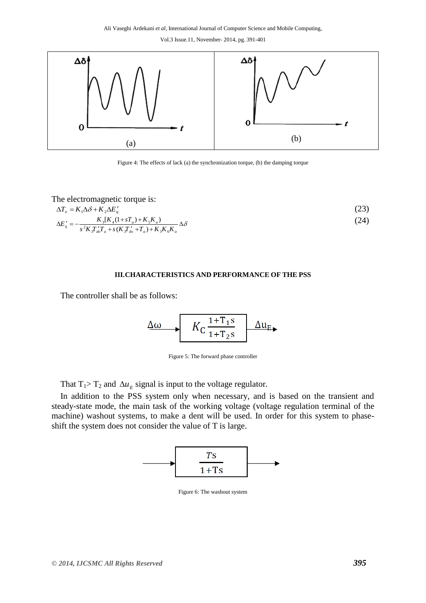

Figure 4: The effects of lack (a) the synchronization torque, (b) the damping torque

The electromagnetic torque is:

$$
\Delta T_e = K_1 \Delta \delta + K_2 \Delta E'_q
$$
\n
$$
\Delta E'_q = -\frac{K_3 [K_4 (1 + sT_a) + K_5 K_a)}{s^2 K T' T + s (K T' + T) + K K K} \Delta \delta
$$
\n(24)

$$
\Delta E'_{q} = -\frac{K_{3}[K_{4}(1+sT_{a}) + K_{5}K_{a})}{s^{2}K_{3}T_{ab}T_{a} + s(K_{3}T_{ab} + T_{a}) + K_{3}K_{6}K_{a}} \Delta \delta
$$
\n(24)

# **III.CHARACTERISTICS AND PERFORMANCE OF THE PSS**

The controller shall be as follows:

$$
\Delta\omega \longrightarrow K_{\rm C} \frac{1+\rm T_{1}S}{1+\rm T_{2}S} \Delta u_{\rm E}
$$

Figure 5: The forward phase controller

That  $T_1 > T_2$  and  $\Delta u_E$  signal is input to the voltage regulator.

In addition to the PSS system only when necessary, and is based on the transient and steady-state mode, the main task of the working voltage (voltage regulation terminal of the machine) washout systems, to make a dent will be used. In order for this system to phaseshift the system does not consider the value of T is large.



Figure 6: The washout system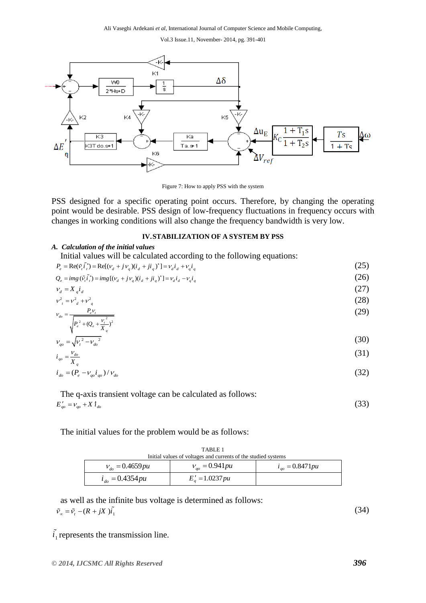

Figure 7: How to apply PSS with the system

PSS designed for a specific operating point occurs. Therefore, by changing the operating point would be desirable. PSS design of low-frequency fluctuations in frequency occurs with changes in working conditions will also change the frequency bandwidth is very low.

### **IV.STABILIZATION OF A SYSTEM BY PSS**

#### *A. Calculation of the initial values*

Initial values will be calculated according to the following equations:  
\n
$$
P_e = \text{Re}(\tilde{v}_i \tilde{i}_i^*) = \text{Re}[(v_d + jv_q)(i_d + ji_q)^*] = v_d i_d + v_q i_q
$$
\n
$$
Q_e = img(\tilde{v}_i \tilde{i}_i^*) = img[(v_d + jv_q)(i_d + ji_q)^*] = v_d i_d - v_q i_q
$$
\n(26)

$$
v_d = X_d i_d \tag{27}
$$

$$
v_{i}^{2} = v_{d}^{2} + v_{q}^{2}
$$
 (28)

$$
v_{d0} = \frac{P_e v_t}{\sqrt{P_e^2 + (Q_e + \frac{v_t^2}{X_a})^2}}
$$
(29)

$$
v_{q_0} = \sqrt{{v_t}^2 - {v_{do}}^2}
$$
 (30)

$$
i_{qo} = \frac{v_{do}}{X_q} \tag{31}
$$

$$
i_{\text{do}} = (P_e - V_{qo} i_{qo}) / V_{\text{do}}
$$
\n(32)

The q-axis transient voltage can be calculated as follows:  $E'_{qo} = V_{qo} + X t_{do}$ 

The initial values for the problem would be as follows:

TABLE 1 Initial values of voltages and currents of the studied systems

| mittal values of voltages and currents of the studied systems |                                   |                         |  |  |
|---------------------------------------------------------------|-----------------------------------|-------------------------|--|--|
| $v_{d} = 0.4659 \mu u$                                        | $v_{\text{ao}} = 0.941 \text{pu}$ | $i_{\omega} = 0.8471pu$ |  |  |
| $i_{d\rho} = 0.4354 pu$                                       | $E_a' = 1.0237 \, pu$             |                         |  |  |

as well as the infinite bus voltage is determined as follows:  $\tilde{v}_{\infty} = \tilde{v}_{t} - (R + jX)\tilde{i}_{1}$ 

(34)

(33)

 $(25)$ 

 $i_1$  represents the transmission line.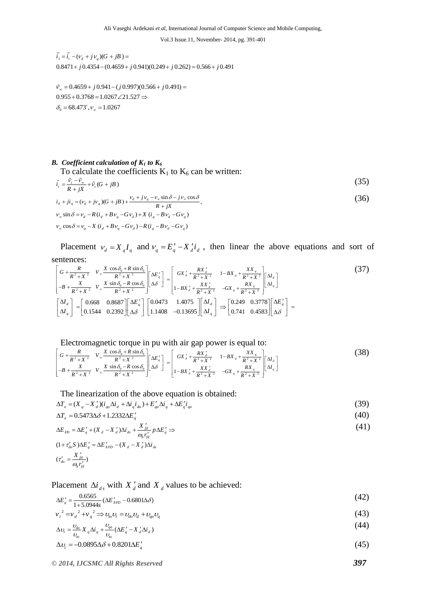$\tilde{i}_1 = \tilde{i}_i - (v_d + jv_q)(G + jB) =$  $\tilde{i}_1 = \tilde{i}_i - (v_d + jv_q)(G + jB) =$ <br>0.8471 + j 0.4354 – (0.4659 + j 0.941)(0.249 + j 0.262) = 0.566 + j 0.491

 $0.955 + 0.3768 = 1.0267 \angle$ <br> $\delta_0 = 68.473^\circ$ ,  $v_\infty = 1.0267$  $0.4659 + j 0.941 - (j 0.997)(0.566 + j 0.491)$  $\tilde{v}_\infty = 0.4659 + j 0.941 - (j 0.997)$ <br>0.955 + 0.3768 = 1.0267  $\angle$ 21.527  $\tilde{v}_\infty = 0.4659 + j 0.941 - (j 0.997)(0.566 + j 0.491) =$  $0.4659 + j 0.941 - (j 0.997)(0.566 + j$ <br>+ 0.3768 = 1.0267∠21.527 ⇒

# *B. Coefficient calculation of*  $K_1$  *to*  $K_6$

To calculate the coefficients 
$$
K_1
$$
 to  $K_6$  can be written:  
\n
$$
\tilde{i}_r = \frac{\tilde{v}_r - \tilde{v}_{\infty}}{r} + \tilde{v}_r(G + jB)
$$
\n(35)

$$
\tilde{i}_{t} = \frac{\tilde{v}_{t} - \tilde{v}_{\infty}}{R + jX} + \tilde{v}_{t}(G + jB)
$$
\n
$$
i_{d} + ji_{q} = (v_{d} + jv_{q})(G + jB) + \frac{v_{d} + jv_{q} - v_{\infty}\sin\delta - jv_{\infty}\cos\delta}{R + jX},
$$
\n
$$
v_{\infty}\sin\delta = v_{d} - R(i_{d} + Bv_{q} - Gv_{d}) + X(i_{q} - Bv_{d} - Gv_{q})
$$
\n
$$
v_{\infty}\cos\delta = v_{q} - X(i_{d} + Bv_{q} - Gv_{d}) - R(i_{q} - Bv_{d} - Gv_{q})
$$
\n(36)

Placement  $v_d = X_q I_q$  and  $v_q = E_q' - X_d' i_d$ , then linear the above equations and sort of sentences:

entences:  
\n
$$
\begin{bmatrix}\nG + \frac{R}{R^2 + X^2} & V_{\infty} \frac{X \cos \delta_0 + R \sin \delta_0}{R^2 + X^2} \\
-B + \frac{X}{R^2 + X^2} & V_{\infty} \frac{X \sin \delta_0 - R \cos \delta_0}{R^2 + X^2}\n\end{bmatrix}\n\begin{bmatrix}\n\Delta E'_q \\
\Delta \delta\n\end{bmatrix} =\n\begin{bmatrix}\nG X'_d + \frac{RX'_d}{R^2 + X^2} & 1 - BX_q + \frac{XX_q}{R^2 + X^2} \\
1 - BX_d' + \frac{XX_d'}{R^2 + X^2} & -GX_q + \frac{RX_q}{R^2 + X^2}\n\end{bmatrix}\n\begin{bmatrix}\n\Delta I_d \\
\Delta I_q\n\end{bmatrix}
$$
\n
$$
\begin{bmatrix}\n\Delta I_d \\
\Delta I_q\n\end{bmatrix} =\n\begin{bmatrix}\n0.668 & 0.8687 \\
0.1544 & 0.2392\n\end{bmatrix}\n\begin{bmatrix}\n\Delta E'_q \\
\Delta \delta\n\end{bmatrix}\n\begin{bmatrix}\n0.0473 & 1.4075 \\
1.1408 & -0.13695\n\end{bmatrix}\n\begin{bmatrix}\n\Delta I_d \\
\Delta I_q\n\end{bmatrix} \Rightarrow\n\begin{bmatrix}\n0.249 & 0.3778 \\
0.741 & 0.4583\n\end{bmatrix}\n\begin{bmatrix}\n\Delta E'_q \\
\Delta \delta\n\end{bmatrix} =
$$

Electromagnetic torque in pu with air gap power is equal to:  
\n
$$
\begin{bmatrix}\nG + \frac{R}{R^2 + X^2} & V_{\infty} \frac{X \cos \delta_0 + R \sin \delta_0}{R^2 + X^2} \\
-B + \frac{X}{R^2 + X^2} & V_{\infty} \frac{X \sin \delta_0 - R \cos \delta_0}{R^2 + X^2}\n\end{bmatrix}\n\begin{bmatrix}\n\Delta E'_q \\
\Delta \delta\n\end{bmatrix} =\n\begin{bmatrix}\nG X'_d + \frac{RX'_d}{R^2 + X^2} & 1 - BX_q + \frac{XX_q}{R^2 + X^2} \\
1 - BX_d' + \frac{XX_d'}{R^2 + X^2} & -GX_q + \frac{RX_q}{R^2 + X^2}\n\end{bmatrix}\n\begin{bmatrix}\n\Delta I_d \\
\Delta I_q\n\end{bmatrix}
$$
\n(38)

$$
\Delta T_e = (X_q - X'_d)(i_{qo}\Delta i_d + \Delta i_q i_{do}) + E'_{qo}\Delta i_q + \Delta E'_q i_{qo}
$$
\n
$$
(39)
$$

The linearization of the above equation is obtained:  
\n
$$
\Delta T_e = (X_q - X'_d)(i_{qo}\Delta i_d + \Delta i_q i_{do}) + E'_{qo}\Delta i_q + \Delta E'_q i_{qo}
$$
\n
$$
\Delta T_e = 0.5473\Delta \delta + 1.2332\Delta E'_q
$$
\n(40)

$$
\Delta L_e = 0.5473\Delta\sigma + 1.2532\Delta E_q
$$
\n
$$
\Delta E_{FD} = \Delta E'_q + (X_d - X'_d)\Delta i_{ds} + \frac{X'_{fd}}{\omega_b r'_{fd}} p \Delta E'_q \Rightarrow
$$
\n
$$
(41)
$$
\n
$$
(41)
$$
\n
$$
t^2 \omega \Delta E'_q = \Delta E'_{XFD} - (X_d - X'_d)\Delta i_{ds}
$$

$$
\Delta E_{FD} = \Delta E_q + (X_d - X_d) \Delta t_{ds} + \frac{\partial E_{fd}}{\partial_b r_{fd}'} p \Delta E_q \rightarrow
$$
\n
$$
(1 + \tau_{do}' S) \Delta E_q' = \Delta E_{XFD}' - (X_d - X_d') \Delta t_{ds}
$$
\n
$$
(\tau_{do}' = \frac{X_{fd}'}{\partial_b r_{fd}'})
$$

Placement  $\Delta i_{ds}$  with  $X_d$  and  $X_d$  values to be achieved:

$$
\Delta E'_{q} = \frac{0.6565}{1+5.0944s} (\Delta E'_{XFD} - 0.6801\Delta\delta)
$$
\n
$$
v^{2} = v^{2} + v^{2} \Rightarrow v^{1}v^{2} = v^{1}v^{2} + v^{2} \tag{43}
$$

$$
\sum_{q=1}^{\infty} \frac{1}{4} + 5.0944s \xrightarrow{(L\omega_{XFD} - 0.0001\omega)} \frac{1}{2} + v_q^2 \Rightarrow v_{lo}v_t = v_{do}v_d + v_{qo}v_q
$$
\n(43)

$$
\Delta v_t = \frac{v_{do}}{v_{to}} X_q \Delta i_q + \frac{v_{qo}}{v_{to}} (\Delta E'_q - X'_d \Delta i_d)
$$
\n
$$
\Delta v_t = -0.0895 \Delta \delta + 0.8201 \Delta E'_q
$$
\n(45)

$$
\Delta v_t = -0.0895\Delta\delta + 0.8201\Delta E'_q \tag{45}
$$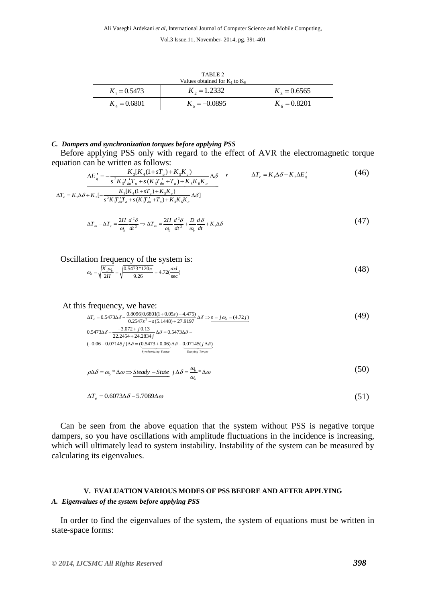| TABLE 2                            |                 |                |  |  |
|------------------------------------|-----------------|----------------|--|--|
| Values obtained for $K_1$ to $K_6$ |                 |                |  |  |
| $K_1 = 0.5473$                     | $K_2 = 1.2332$  | $K_3 = 0.6565$ |  |  |
| $K_{A} = 0.6801$                   | $K_s = -0.0895$ | $K_6 = 0.8201$ |  |  |

#### *C. Dampers and synchronization torques before applying PSS*

Before applying PSS only with regard to the effect of AVR the electromagnetic torque

equation can be written as follows:  
\n
$$
\Delta E'_{q} = -\frac{K_{3}[K_{4}(1+sT_{a})+K_{5}K_{a})}{s^{2}K_{5}T_{a}T_{a}+s(K_{5}T_{a}'+T_{a})+K_{3}K_{6}K_{a}} \Delta \delta
$$
\n
$$
\Delta T_{e} = K_{1}\Delta\delta + K_{2}\Delta E'_{q}
$$
\n
$$
\Delta T_{e} = K_{1}\Delta\delta + K_{2}[-\frac{K_{3}[K_{4}(1+sT_{a})+K_{5}K_{a}]}{s^{2}K_{5}T_{a}T_{a}+s(K_{5}T_{a}'+T_{a})+K_{5}K_{6}K_{a}} \Delta \delta]
$$
\n
$$
(46)
$$

$$
\Delta T_m - \Delta T_e = \frac{2H}{\omega_b} \frac{d^2 \delta}{dt^2} \Rightarrow \Delta T_m = \frac{2H}{\omega_b} \frac{d^2 \delta}{dt^2} + \frac{D}{\omega_b} \frac{d \delta}{dt} + K_1 \Delta \delta
$$
(47)

Oscillation frequency of the system is:  
\n
$$
\omega_n = \sqrt{\frac{K_1 \omega_b}{2H}} = \sqrt{\frac{0.5473 * 120\pi}{9.26}} = 4.72(\frac{nd}{sec})
$$
\n(48)

At this frequency, we have:  
\n
$$
\Delta T_e = 0.5473\Delta\delta - \frac{0.8096[0.6801(1+0.05s) - 4.475)}{0.2547s^2 + s(5.1448) + 27.9197} \Delta\delta \Rightarrow s = j\omega_n = (4.72j)
$$
\n
$$
0.5473\Delta\delta - \frac{-3.072 + j0.13}{22.2454 + 24.2834j} \Delta\delta = 0.5473\Delta\delta - (-0.06 + 0.07145j)\Delta\delta = (0.5473 + 0.06)\Delta\delta - \frac{0.07145(j\Delta\delta)}{Symelting Torque}
$$
\n(49)

$$
\rho \Delta \delta = \omega_b * \Delta \omega \Rightarrow \underline{Steady - State} \quad j \Delta \delta = \frac{\omega_b}{\omega_n} * \Delta \omega \tag{50}
$$

$$
\Delta T_e = 0.6073 \Delta \delta - 5.7069 \Delta \omega \tag{51}
$$

Can be seen from the above equation that the system without PSS is negative torque dampers, so you have oscillations with amplitude fluctuations in the incidence is increasing, which will ultimately lead to system instability. Instability of the system can be measured by calculating its eigenvalues.

# **V. EVALUATION VARIOUS MODES OF PSS BEFORE AND AFTER APPLYING** *A. Eigenvalues of the system before applying PSS*

In order to find the eigenvalues of the system, the system of equations must be written in state-space forms: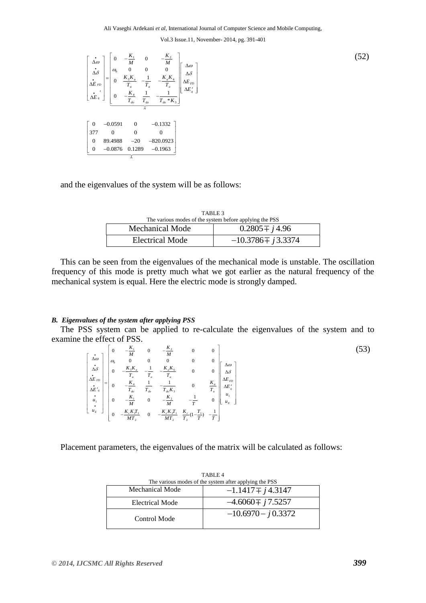

and the eigenvalues of the system will be as follows:

| TABLE 3<br>The various modes of the system before applying the PSS |                        |  |
|--------------------------------------------------------------------|------------------------|--|
| <b>Mechanical Mode</b>                                             | $0.2805 \pm j4.96$     |  |
| <b>Electrical Mode</b>                                             | $-10.3786 \pm j3.3374$ |  |

This can be seen from the eigenvalues of the mechanical mode is unstable. The oscillation frequency of this mode is pretty much what we got earlier as the natural frequency of the mechanical system is equal. Here the electric mode is strongly damped.

#### *B. Eigenvalues of the system after applying PSS*

The PSS system can be applied to re-calculate the eigenvalues of the system and to amine the effect of PSS.<br>  $\begin{bmatrix} \dot{\Delta} \omega \\ \dot{\Delta} \end{bmatrix} \begin{bmatrix} 0 & -\frac{K_1}{M} & 0 & -\frac{K_2}{M} & 0 & 0 \\ \alpha_b & 0 & 0 & 0 & 0 \\ 0 & 0 & 0 & 0 & 0 \\ 0 & 0 & 0 & 0 & 0 \$ examine the effect of PSS. t of PSS.<br>  $0 \t -\frac{K_1}{M}$   $0 \t -\frac{K_2}{M}$   $0$   $0$ 

The effect of PSS.  
\n
$$
\begin{bmatrix}\n\dot{\Delta} \omega \\
\Delta \omega \\
\dot{\Delta} \delta \\
\dot{\Delta} E_{FD} \\
\dot{\Delta} E'_{v} \\
\dot{u}_{E}\n\end{bmatrix}\n\begin{bmatrix}\n0 & -\frac{K_{1}}{M} & 0 & -\frac{K_{2}}{M} & 0 & 0 \\
\omega_{b} & 0 & 0 & 0 & 0 \\
0 & -\frac{K_{5}K_{a}}{T_{a}} & -\frac{1}{T_{a}} & -\frac{K_{a}K_{6}}{T_{a}} & 0 & 0 \\
0 & -\frac{K_{4}}{T_{a}} & \frac{1}{T_{a_{b}}} & -\frac{1}{T_{a_{b}K_{5}}} & 0 & \frac{K_{a}}{T_{a}} & \Delta E_{FD} \\
0 & -\frac{K_{1}}{M} & 0 & -\frac{K_{2}}{M} & -\frac{1}{T} & 0 \\
0 & -\frac{K_{c}K_{1}}{MT_{2}} & 0 & -\frac{K_{c}K_{2}T_{1}}{MT_{2}} & \frac{K_{c}}{T_{2}}(1-\frac{T_{1}}{T}) & -\frac{1}{T}\n\end{bmatrix}
$$

(53)

Placement parameters, the eigenvalues of the matrix will be calculated as follows:

| TABLE 4<br>The various modes of the system after applying the PSS |                       |  |  |
|-------------------------------------------------------------------|-----------------------|--|--|
| Mechanical Mode                                                   | $-1.1417 \pm i4.3147$ |  |  |
| Electrical Mode                                                   | $-4.6060 \pm j7.5257$ |  |  |
| Control Mode                                                      | $-10.6970 - j0.3372$  |  |  |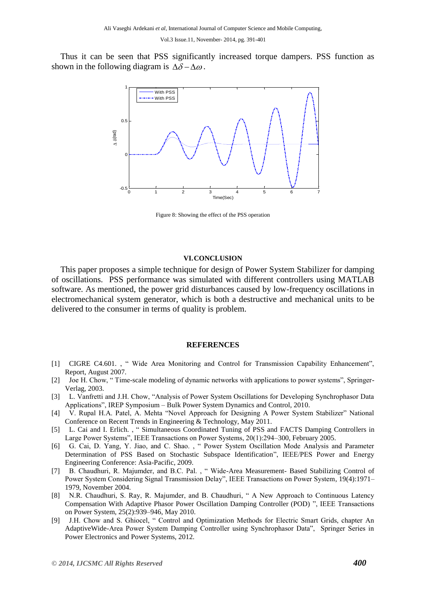Thus it can be seen that PSS significantly increased torque dampers. PSS function as shown in the following diagram is  $\Delta\delta - \Delta\omega$ .



Figure 8: Showing the effect of the PSS operation

#### **VI.CONCLUSION**

This paper proposes a simple technique for design of Power System Stabilizer for damping of oscillations. PSS performance was simulated with different controllers using MATLAB software. As mentioned, the power grid disturbances caused by low-frequency oscillations in electromechanical system generator, which is both a destructive and mechanical units to be delivered to the consumer in terms of quality is problem.

### **REFERENCES**

- [1] CIGRE C4.601. , " Wide Area Monitoring and Control for Transmission Capability Enhancement", Report, August 2007.
- [2] Joe H. Chow, " Time-scale modeling of dynamic networks with applications to power systems", Springer-Verlag, 2003.
- [3] L. Vanfretti and J.H. Chow, "Analysis of Power System Oscillations for Developing Synchrophasor Data Applications", IREP Symposium – Bulk Power System Dynamics and Control, 2010.
- [4] V. Rupal H.A. Patel, A. Mehta "Novel Approach for Designing A Power System Stabilizer" National Conference on Recent Trends in Engineering & Technology, May 2011.
- [5] L. Cai and I. Erlich. , " Simultaneous Coordinated Tuning of PSS and FACTS Damping Controllers in Large Power Systems", IEEE Transactions on Power Systems, 20(1):294–300, February 2005.
- [6] G. Cai, D. Yang, Y. Jiao, and C. Shao. , " Power System Oscillation Mode Analysis and Parameter Determination of PSS Based on Stochastic Subspace Identification", IEEE/PES Power and Energy Engineering Conference: Asia-Pacific, 2009.
- [7] B. Chaudhuri, R. Majumder, and B.C. Pal. , " Wide-Area Measurement- Based Stabilizing Control of Power System Considering Signal Transmission Delay", IEEE Transactions on Power System, 19(4):1971– 1979, November 2004.
- [8] N.R. Chaudhuri, S. Ray, R. Majumder, and B. Chaudhuri, " A New Approach to Continuous Latency Compensation With Adaptive Phasor Power Oscillation Damping Controller (POD) ", IEEE Transactions on Power System, 25(2):939–946, May 2010.
- [9] J.H. Chow and S. Ghiocel, " Control and Optimization Methods for Electric Smart Grids, chapter An AdaptiveWide-Area Power System Damping Controller using Synchrophasor Data", Springer Series in Power Electronics and Power Systems, 2012.